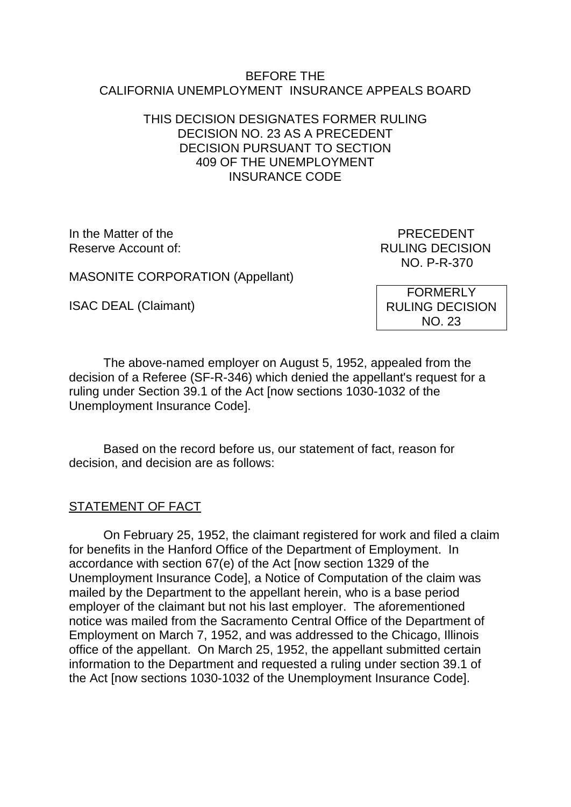#### BEFORE THE CALIFORNIA UNEMPLOYMENT INSURANCE APPEALS BOARD

### THIS DECISION DESIGNATES FORMER RULING DECISION NO. 23 AS A PRECEDENT DECISION PURSUANT TO SECTION 409 OF THE UNEMPLOYMENT INSURANCE CODE

In the Matter of the **PRECEDENT** Reserve Account of:  $\overline{\phantom{a}}$  RULING DECISION

NO. P-R-370

MASONITE CORPORATION (Appellant)

ISAC DEAL (Claimant)

FORMERLY RULING DECISION NO. 23

The above-named employer on August 5, 1952, appealed from the decision of a Referee (SF-R-346) which denied the appellant's request for a ruling under Section 39.1 of the Act [now sections 1030-1032 of the Unemployment Insurance Code].

Based on the record before us, our statement of fact, reason for decision, and decision are as follows:

#### STATEMENT OF FACT

On February 25, 1952, the claimant registered for work and filed a claim for benefits in the Hanford Office of the Department of Employment. In accordance with section 67(e) of the Act [now section 1329 of the Unemployment Insurance Code], a Notice of Computation of the claim was mailed by the Department to the appellant herein, who is a base period employer of the claimant but not his last employer. The aforementioned notice was mailed from the Sacramento Central Office of the Department of Employment on March 7, 1952, and was addressed to the Chicago, Illinois office of the appellant. On March 25, 1952, the appellant submitted certain information to the Department and requested a ruling under section 39.1 of the Act [now sections 1030-1032 of the Unemployment Insurance Code].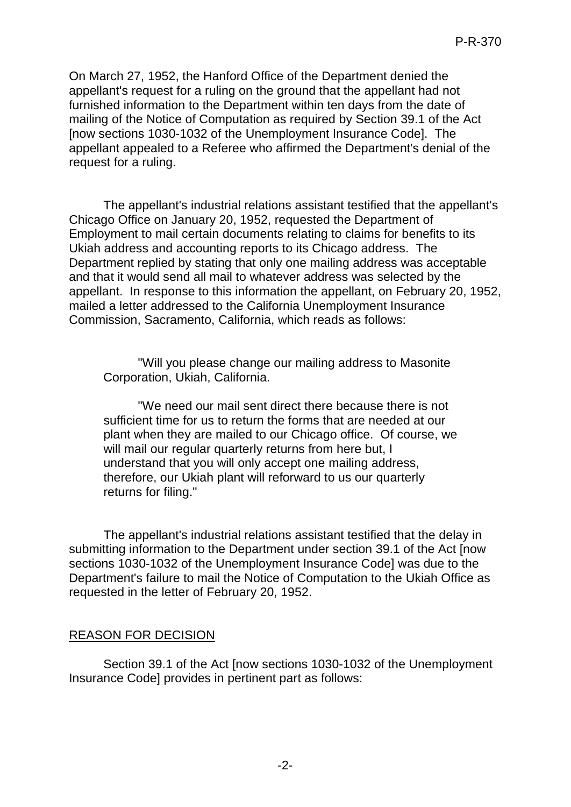On March 27, 1952, the Hanford Office of the Department denied the appellant's request for a ruling on the ground that the appellant had not furnished information to the Department within ten days from the date of mailing of the Notice of Computation as required by Section 39.1 of the Act [now sections 1030-1032 of the Unemployment Insurance Code]. The appellant appealed to a Referee who affirmed the Department's denial of the request for a ruling.

The appellant's industrial relations assistant testified that the appellant's Chicago Office on January 20, 1952, requested the Department of Employment to mail certain documents relating to claims for benefits to its Ukiah address and accounting reports to its Chicago address. The Department replied by stating that only one mailing address was acceptable and that it would send all mail to whatever address was selected by the appellant. In response to this information the appellant, on February 20, 1952, mailed a letter addressed to the California Unemployment Insurance Commission, Sacramento, California, which reads as follows:

"Will you please change our mailing address to Masonite Corporation, Ukiah, California.

"We need our mail sent direct there because there is not sufficient time for us to return the forms that are needed at our plant when they are mailed to our Chicago office. Of course, we will mail our regular quarterly returns from here but, I understand that you will only accept one mailing address, therefore, our Ukiah plant will reforward to us our quarterly returns for filing."

The appellant's industrial relations assistant testified that the delay in submitting information to the Department under section 39.1 of the Act [now sections 1030-1032 of the Unemployment Insurance Code] was due to the Department's failure to mail the Notice of Computation to the Ukiah Office as requested in the letter of February 20, 1952.

## REASON FOR DECISION

Section 39.1 of the Act [now sections 1030-1032 of the Unemployment Insurance Code] provides in pertinent part as follows: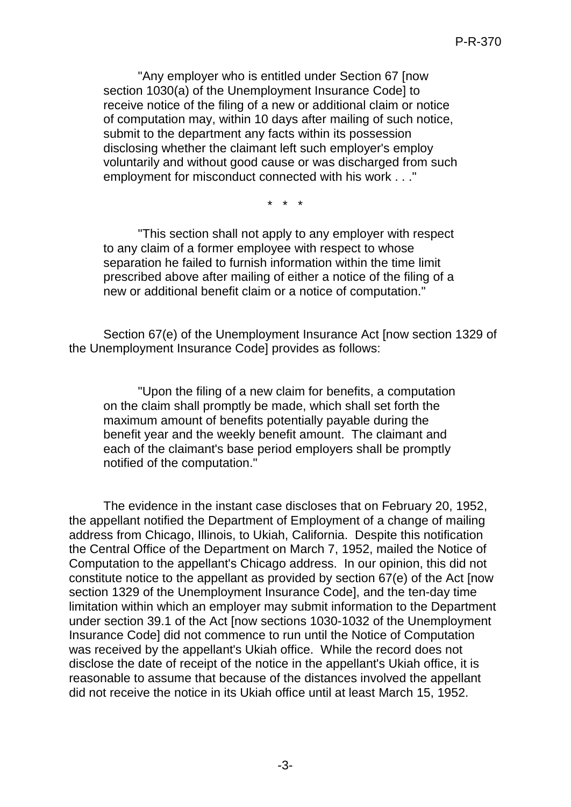"Any employer who is entitled under Section 67 [now section 1030(a) of the Unemployment Insurance Code] to receive notice of the filing of a new or additional claim or notice of computation may, within 10 days after mailing of such notice, submit to the department any facts within its possession disclosing whether the claimant left such employer's employ voluntarily and without good cause or was discharged from such employment for misconduct connected with his work . . ."

\* \* \*

"This section shall not apply to any employer with respect to any claim of a former employee with respect to whose separation he failed to furnish information within the time limit prescribed above after mailing of either a notice of the filing of a new or additional benefit claim or a notice of computation."

Section 67(e) of the Unemployment Insurance Act [now section 1329 of the Unemployment Insurance Code] provides as follows:

"Upon the filing of a new claim for benefits, a computation on the claim shall promptly be made, which shall set forth the maximum amount of benefits potentially payable during the benefit year and the weekly benefit amount. The claimant and each of the claimant's base period employers shall be promptly notified of the computation."

The evidence in the instant case discloses that on February 20, 1952, the appellant notified the Department of Employment of a change of mailing address from Chicago, Illinois, to Ukiah, California. Despite this notification the Central Office of the Department on March 7, 1952, mailed the Notice of Computation to the appellant's Chicago address. In our opinion, this did not constitute notice to the appellant as provided by section 67(e) of the Act [now section 1329 of the Unemployment Insurance Code], and the ten-day time limitation within which an employer may submit information to the Department under section 39.1 of the Act [now sections 1030-1032 of the Unemployment Insurance Code] did not commence to run until the Notice of Computation was received by the appellant's Ukiah office. While the record does not disclose the date of receipt of the notice in the appellant's Ukiah office, it is reasonable to assume that because of the distances involved the appellant did not receive the notice in its Ukiah office until at least March 15, 1952.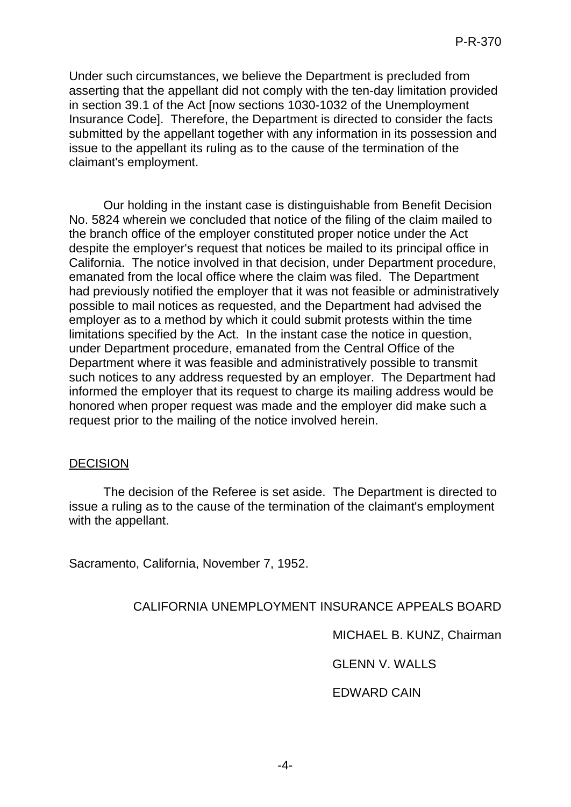Under such circumstances, we believe the Department is precluded from asserting that the appellant did not comply with the ten-day limitation provided in section 39.1 of the Act [now sections 1030-1032 of the Unemployment Insurance Code]. Therefore, the Department is directed to consider the facts submitted by the appellant together with any information in its possession and issue to the appellant its ruling as to the cause of the termination of the claimant's employment.

Our holding in the instant case is distinguishable from Benefit Decision No. 5824 wherein we concluded that notice of the filing of the claim mailed to the branch office of the employer constituted proper notice under the Act despite the employer's request that notices be mailed to its principal office in California. The notice involved in that decision, under Department procedure, emanated from the local office where the claim was filed. The Department had previously notified the employer that it was not feasible or administratively possible to mail notices as requested, and the Department had advised the employer as to a method by which it could submit protests within the time limitations specified by the Act. In the instant case the notice in question, under Department procedure, emanated from the Central Office of the Department where it was feasible and administratively possible to transmit such notices to any address requested by an employer. The Department had informed the employer that its request to charge its mailing address would be honored when proper request was made and the employer did make such a request prior to the mailing of the notice involved herein.

#### DECISION

The decision of the Referee is set aside. The Department is directed to issue a ruling as to the cause of the termination of the claimant's employment with the appellant.

Sacramento, California, November 7, 1952.

#### CALIFORNIA UNEMPLOYMENT INSURANCE APPEALS BOARD

MICHAEL B. KUNZ, Chairman

GLENN V. WALLS

#### EDWARD CAIN